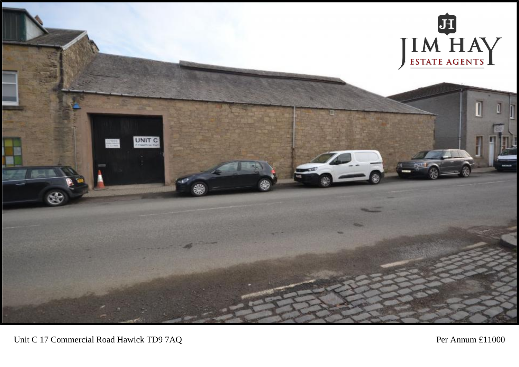

Per Annum £11000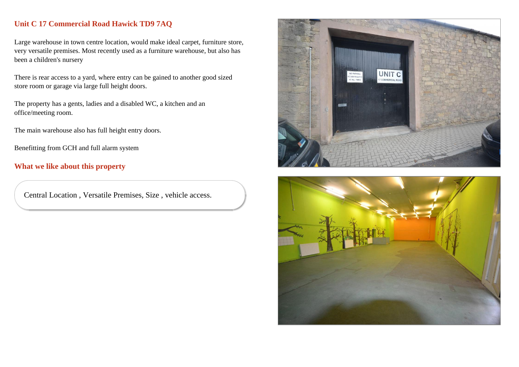## **Unit C 17 Commercial Road Hawick TD9 7AQ**

Large warehouse in town centre location, would make ideal carpet, furniture store, very versatile premises. Most recently used as a furniture warehouse, but also has been a children's nursery

There is rear access to a yard, where entry can be gained to another good sized store room or garage via large full height doors.

The property has a gents, ladies and a disabled WC, a kitchen and an office/meeting room.

The main warehouse also has full height entry doors.

Benefitting from GCH and full alarm system

## **What we like about this property**

Central Location , Versatile Premises, Size , vehicle access.



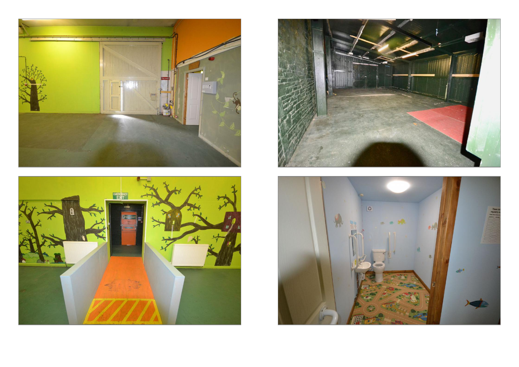